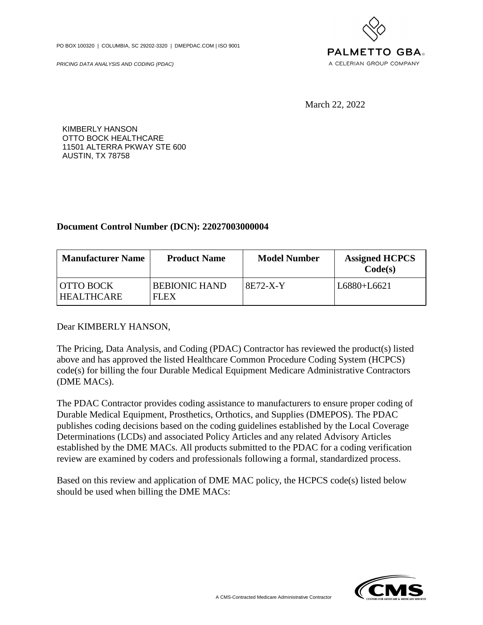PO BOX 100320 | COLUMBIA, SC 29202-3320 | DMEPDAC.COM | ISO 9001

PRICING DATA ANALYSIS AND CODING (PDAC)



March 22, 2022

KIMBERLY HANSON OTTO BOCK HEALTHCARE 11501 ALTERRA PKWAY STE 600 AUSTIN, TX 78758

## **Document Control Number (DCN): 22027003000004**

| <b>Manufacturer Name</b>              | <b>Product Name</b>          | <b>Model Number</b> | <b>Assigned HCPCS</b><br>Code(s) |
|---------------------------------------|------------------------------|---------------------|----------------------------------|
| <b>OTTO BOCK</b><br><b>HEALTHCARE</b> | <b>BEBIONIC HAND</b><br>FLEX | 8E72-X-Y            | L6880+L6621                      |

Dear KIMBERLY HANSON,

The Pricing, Data Analysis, and Coding (PDAC) Contractor has reviewed the product(s) listed above and has approved the listed Healthcare Common Procedure Coding System (HCPCS) code(s) for billing the four Durable Medical Equipment Medicare Administrative Contractors (DME MACs).

The PDAC Contractor provides coding assistance to manufacturers to ensure proper coding of Durable Medical Equipment, Prosthetics, Orthotics, and Supplies (DMEPOS). The PDAC publishes coding decisions based on the coding guidelines established by the Local Coverage Determinations (LCDs) and associated Policy Articles and any related Advisory Articles established by the DME MACs. All products submitted to the PDAC for a coding verification review are examined by coders and professionals following a formal, standardized process.

Based on this review and application of DME MAC policy, the HCPCS code(s) listed below should be used when billing the DME MACs:

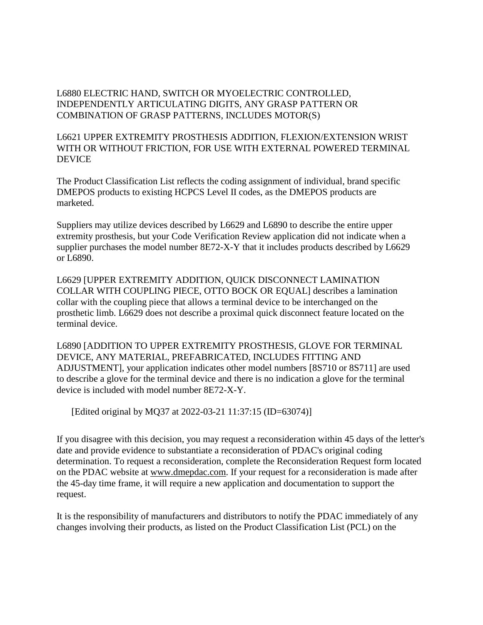L6880 ELECTRIC HAND, SWITCH OR MYOELECTRIC CONTROLLED, INDEPENDENTLY ARTICULATING DIGITS, ANY GRASP PATTERN OR COMBINATION OF GRASP PATTERNS, INCLUDES MOTOR(S)

L6621 UPPER EXTREMITY PROSTHESIS ADDITION, FLEXION/EXTENSION WRIST WITH OR WITHOUT FRICTION, FOR USE WITH EXTERNAL POWERED TERMINAL **DEVICE** 

The Product Classification List reflects the coding assignment of individual, brand specific DMEPOS products to existing HCPCS Level II codes, as the DMEPOS products are marketed.

Suppliers may utilize devices described by L6629 and L6890 to describe the entire upper extremity prosthesis, but your Code Verification Review application did not indicate when a supplier purchases the model number 8E72-X-Y that it includes products described by L6629 or L6890.

L6629 [UPPER EXTREMITY ADDITION, QUICK DISCONNECT LAMINATION COLLAR WITH COUPLING PIECE, OTTO BOCK OR EQUAL] describes a lamination collar with the coupling piece that allows a terminal device to be interchanged on the prosthetic limb. L6629 does not describe a proximal quick disconnect feature located on the terminal device.

L6890 [ADDITION TO UPPER EXTREMITY PROSTHESIS, GLOVE FOR TERMINAL DEVICE, ANY MATERIAL, PREFABRICATED, INCLUDES FITTING AND ADJUSTMENT], your application indicates other model numbers [8S710 or 8S711] are used to describe a glove for the terminal device and there is no indication a glove for the terminal device is included with model number 8E72-X-Y.

[Edited original by MQ37 at 2022-03-21 11:37:15 (ID=63074)]

If you disagree with this decision, you may request a reconsideration within 45 days of the letter's date and provide evidence to substantiate a reconsideration of PDAC's original coding determination. To request a reconsideration, complete the Reconsideration Request form located on the PDAC website at [www.dmepdac.com.](http://www.dmepdac.com) If your request for a reconsideration is made after the 45-day time frame, it will require a new application and documentation to support the request.

It is the responsibility of manufacturers and distributors to notify the PDAC immediately of any changes involving their products, as listed on the Product Classification List (PCL) on the